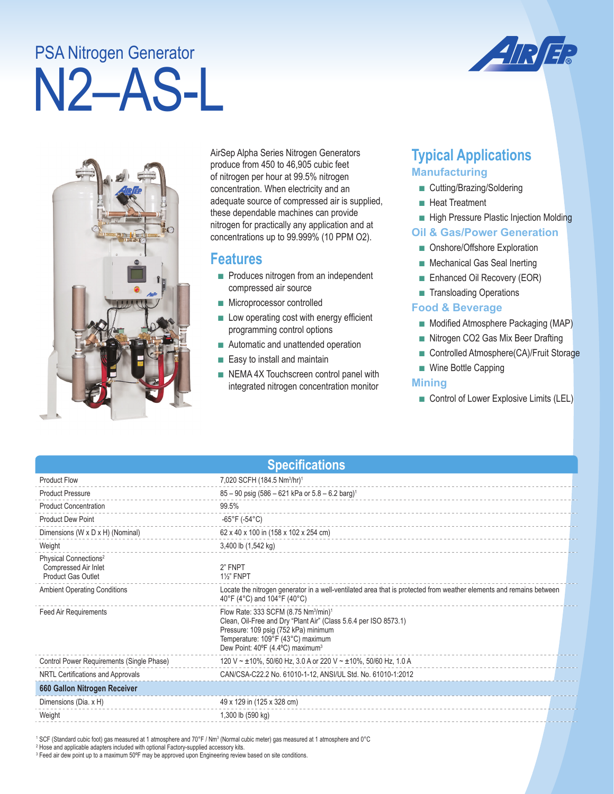# N2–AS-L PSA Nitrogen Generator





AirSep Alpha Series Nitrogen Generators produce from 450 to 46,905 cubic feet of nitrogen per hour at 99.5% nitrogen concentration. When electricity and an adequate source of compressed air is supplied, these dependable machines can provide nitrogen for practically any application and at concentrations up to 99.999% (10 PPM O2).

### **Features**

- Produces nitrogen from an independent compressed air source
- Microprocessor controlled
- Low operating cost with energy efficient programming control options
- Automatic and unattended operation
- Easy to install and maintain
- NEMA 4X Touchscreen control panel with integrated nitrogen concentration monitor

# **Typical Applications Manufacturing**

- Cutting/Brazing/Soldering
- Heat Treatment
- High Pressure Plastic Injection Molding

#### **Oil & Gas/Power Generation**

- Onshore/Offshore Exploration
- Mechanical Gas Seal Inerting
- Enhanced Oil Recovery (EOR)
- Transloading Operations

#### **Food & Beverage**

- Modified Atmosphere Packaging (MAP)
- Nitrogen CO2 Gas Mix Beer Drafting
- Controlled Atmosphere(CA)/Fruit Storage
- Wine Bottle Capping

#### **Mining**

■ Control of Lower Explosive Limits (LEL)

| <b>Specifications</b>                                                                  |                                                                                                                                                                                                                                                               |  |  |  |  |
|----------------------------------------------------------------------------------------|---------------------------------------------------------------------------------------------------------------------------------------------------------------------------------------------------------------------------------------------------------------|--|--|--|--|
| <b>Product Flow</b>                                                                    | 7,020 SCFH (184.5 Nm <sup>3</sup> /hr) <sup>1</sup>                                                                                                                                                                                                           |  |  |  |  |
| <b>Product Pressure</b>                                                                | $85 - 90$ psig (586 - 621 kPa or $5.8 - 6.2$ barg) <sup>1</sup>                                                                                                                                                                                               |  |  |  |  |
| <b>Product Concentration</b>                                                           | 99.5%                                                                                                                                                                                                                                                         |  |  |  |  |
| <b>Product Dew Point</b>                                                               | $-65^{\circ}$ F ( $-54^{\circ}$ C)                                                                                                                                                                                                                            |  |  |  |  |
| Dimensions (W x D x H) (Nominal)                                                       | 62 x 40 x 100 in (158 x 102 x 254 cm)                                                                                                                                                                                                                         |  |  |  |  |
| Weight                                                                                 | 3,400 lb (1,542 kg)                                                                                                                                                                                                                                           |  |  |  |  |
| Physical Connections <sup>2</sup><br>Compressed Air Inlet<br><b>Product Gas Outlet</b> | 2" FNPT<br><b>1%" FNPT</b>                                                                                                                                                                                                                                    |  |  |  |  |
| <b>Ambient Operating Conditions</b>                                                    | Locate the nitrogen generator in a well-ventilated area that is protected from weather elements and remains between<br>40°F (4°C) and 104°F (40°C)                                                                                                            |  |  |  |  |
| Feed Air Requirements                                                                  | Flow Rate: 333 SCFM (8.75 Nm <sup>3</sup> /min) <sup>1</sup><br>Clean, Oil-Free and Dry "Plant Air" (Class 5.6.4 per ISO 8573.1)<br>Pressure: 109 psig (752 kPa) minimum<br>Temperature: 109°F (43°C) maximum<br>Dew Point: 40°F (4.4°C) maximum <sup>3</sup> |  |  |  |  |
| Control Power Requirements (Single Phase)                                              | 120 V ~ $\pm$ 10%, 50/60 Hz, 3.0 A or 220 V ~ $\pm$ 10%, 50/60 Hz, 1.0 A                                                                                                                                                                                      |  |  |  |  |
| NRTL Certifications and Approvals                                                      | CAN/CSA-C22.2 No. 61010-1-12, ANSI/UL Std. No. 61010-1:2012                                                                                                                                                                                                   |  |  |  |  |
| 660 Gallon Nitrogen Receiver                                                           |                                                                                                                                                                                                                                                               |  |  |  |  |
| Dimensions (Dia. x H)                                                                  | 49 x 129 in (125 x 328 cm)                                                                                                                                                                                                                                    |  |  |  |  |
| Weight                                                                                 | 1,300 lb (590 kg)                                                                                                                                                                                                                                             |  |  |  |  |
|                                                                                        |                                                                                                                                                                                                                                                               |  |  |  |  |

' SCF (Standard cubic foot) gas measured at 1 atmosphere and 70°F / Nm3 (Normal cubic meter) gas measured at 1 atmosphere and 0°C<br><sup>2</sup> Hose and applicable adapters included with optional Factory-supplied accessory kits.

3 Feed air dew point up to a maximum 50ºF may be approved upon Engineering review based on site conditions.